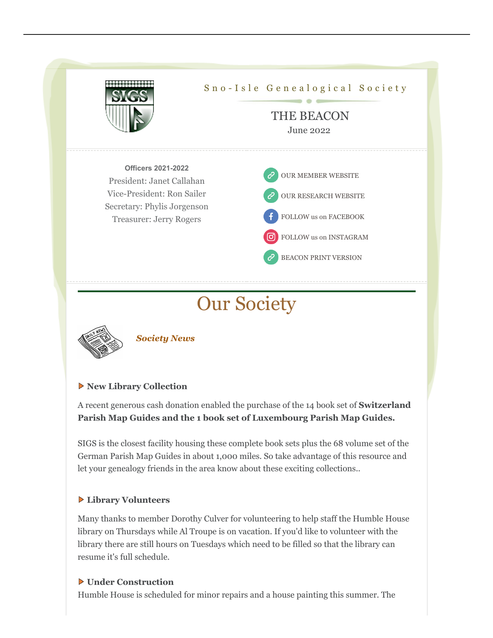

# Our Society



*Society News*

#### **New Library Collection**

A recent generous cash donation enabled the purchase of the 14 book set of **Switzerland Parish Map Guides and the 1 book set of Luxembourg Parish Map Guides.**

SIGS is the closest facility housing these complete book sets plus the 68 volume set of the German Parish Map Guides in about 1,000 miles. So take advantage of this resource and let your genealogy friends in the area know about these exciting collections..

#### **Library Volunteers**

Many thanks to member Dorothy Culver for volunteering to help staff the Humble House library on Thursdays while Al Troupe is on vacation. If you'd like to volunteer with the library there are still hours on Tuesdays which need to be filled so that the library can resume it's full schedule.

#### **Under Construction**

Humble House is scheduled for minor repairs and a house painting this summer. The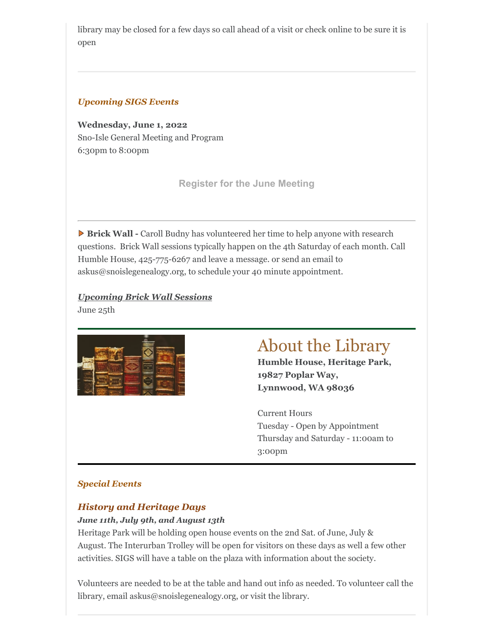library may be closed for a few days so call ahead of a visit or check online to be sure it is open

#### *Upcoming SIGS Events*

**Wednesday, June 1, 2022** Sno-Isle General Meeting and Program 6:30pm to 8:00pm

**[Register for the June Meeting](https://bit.ly/SIGSJune22)**

**Brick Wall -** Caroll Budny has volunteered her time to help anyone with research questions. Brick Wall sessions typically happen on the 4th Saturday of each month. Call Humble House, 425-775-6267 and leave a message. or send an email to askus@snoislegenealogy.org, to schedule your 40 minute appointment.

*Upcoming Brick Wall Sessions*





## About the Library

**Humble House, Heritage Park, 19827 Poplar Way, Lynnwood, WA 98036**

Current Hours Tuesday - Open by Appointment Thursday and Saturday - 11:00am to 3:00pm

#### *Special Events*

#### *History and Heritage Days*

#### *June 11th, July 9th, and August 13th*

Heritage Park will be holding open house events on the 2nd Sat. of June, July & August. The Interurban Trolley will be open for visitors on these days as well a few other activities. SIGS will have a table on the plaza with information about the society.

Volunteers are needed to be at the table and hand out info as needed. To volunteer call the library, email askus@snoislegenealogy.org, or visit the library.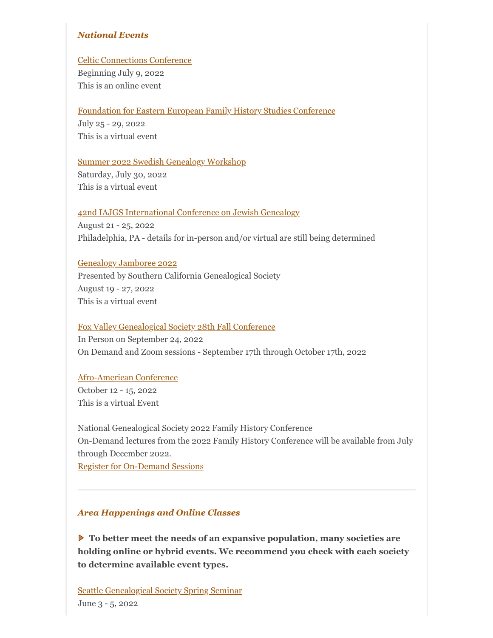#### *National Events*

#### [Celtic Connections Conference](http://celtic-connections.org/)

Beginning July 9, 2022 This is an online event

#### [Foundation for Eastern European Family History Studies Conference](https://feefhs.org/index.php/conference-2022_update)

July 25 - 29, 2022 This is a virtual event

#### [Summer 2022 Swedish Genealogy Workshop](https://www.mcphersoncountyks.us/20/Old-Mill-Museum)

Saturday, July 30, 2022 This is a virtual event

#### [42nd IAJGS International Conference on Jewish Genealogy](https://s4.goeshow.com/iajgs/annual/2022/index.cfm)

August 21 - 25, 2022 Philadelphia, PA - details for in-person and/or virtual are still being determined

#### [Genealogy Jamboree 2022](https://genealogyjamboree.com/)

Presented by Southern California Genealogical Society August 19 - 27, 2022 This is a virtual event

#### [Fox Valley Genealogical Society 28th Fall Conference](https://ilfvgs.org/education/conference/)

In Person on September 24, 2022 On Demand and Zoom sessions - September 17th through October 17th, 2022

#### [Afro-American Conference](https://www.aahgs.org/index.cfm?fuseaction=Page.ViewPage&pageId=3375)

October 12 - 15, 2022 This is a virtual Event

National Genealogical Society 2022 Family History Conference On-Demand lectures from the 2022 Family History Conference will be available from July through December 2022. [Register for On-Demand Sessions](https://conference.ngsgenealogy.org/)

#### *Area Happenings and Online Classes*

**To better meet the needs of an expansive population, many societies are holding online or hybrid events. We recommend you check with each society to determine available event types.**

[Seattle Genealogical Society Spring Seminar](https://docs.google.com/forms/d/e/1FAIpQLScF4LSGul99MB2ZjA-tD1nC920a6kXNCp_s2Qi6ikaDYpdDxg/viewform) June 3 - 5, 2022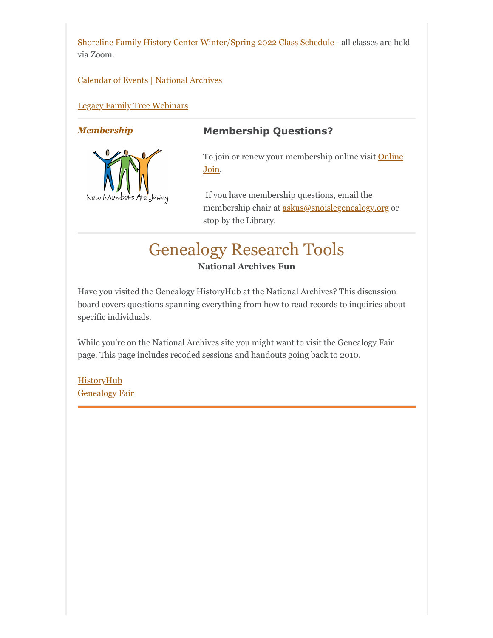[Shoreline Family History Center Winter/Spring 2022 Class Schedule](https://www.familysearch.org/wiki/en/Seattle_Washington_Shoreline_Family_History_Center) - all classes are held via Zoom.

#### [Calendar of Events | National Archives](https://www.archives.gov/calendar/event)

#### [Legacy Family Tree Webinars](https://familytreewebinars.com/upcoming-webinars/)



### *Membership* **Membership Questions?**

[To join or renew your membership online visit](https://snoislegenealogy.org/onlineJoin.php) Online Join.

If you have membership questions, email the membership chair at **askus@snoislegenealogy.org** or stop by the Library.

### Genealogy Research Tools **National Archives Fun**

Have you visited the Genealogy HistoryHub at the National Archives? This discussion board covers questions spanning everything from how to read records to inquiries about specific individuals.

While you're on the National Archives site you might want to visit the Genealogy Fair page. This page includes recoded sessions and handouts going back to 2010.

**[HistoryHub](https://historyhub.history.gov/community/genealogy)** [Genealogy Fair](https://www.archives.gov/calendar/genealogy-fair)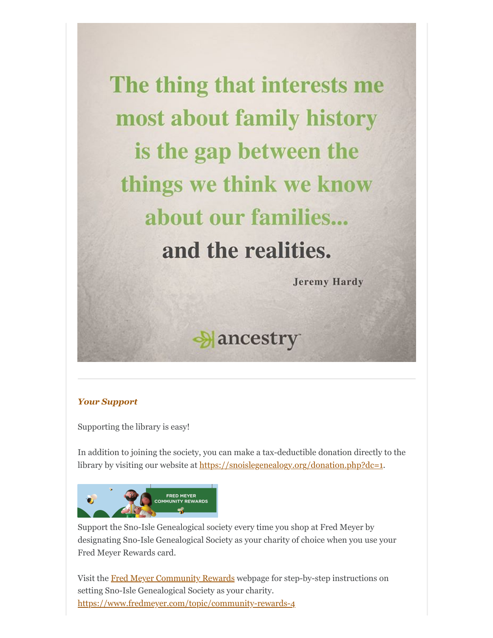The thing that interests me most about family history is the gap between the things we think we know about our families. and the realities.

**Jeremy Hardy** 

Aancestry

#### *Your Support*

Supporting the library is easy!

In addition to joining the society, you can make a tax-deductible donation directly to the library by visiting our website at [https://snoislegenealogy.org/donation.php?dc=1.](https://snoislegen.org/product/tax-deductible-donation/)



Support the Sno-Isle Genealogical society every time you shop at Fred Meyer by designating Sno-Isle Genealogical Society as your charity of choice when you use your Fred Meyer Rewards card.

Visit the [Fred Meyer Community Rewards](https://www.fredmeyer.com/topic/community-rewards-4) webpage for step-by-step instructions on setting Sno-Isle Genealogical Society as your charity. <https://www.fredmeyer.com/topic/community-rewards-4>